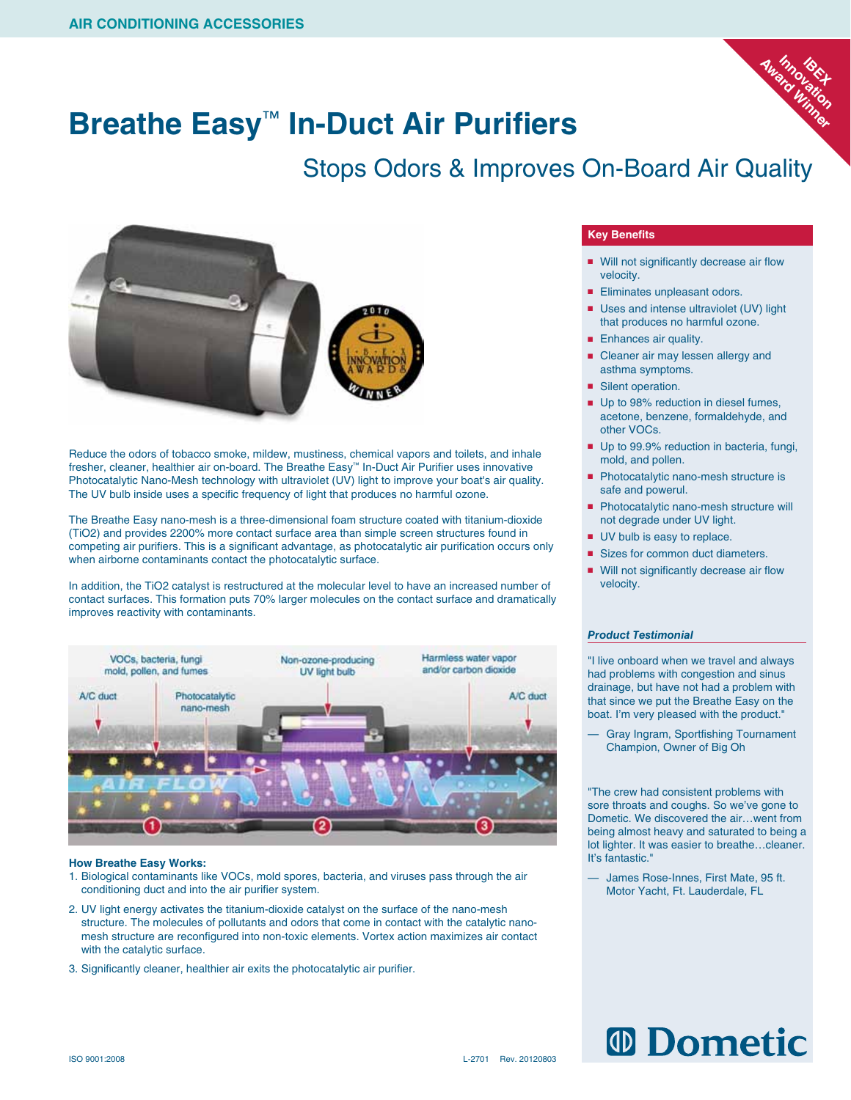

### **Breathe Easy**™ **In-Duct Air Purifiers**

### Stops Odors & Improves On-Board Air Quality



Reduce the odors of tobacco smoke, mildew, mustiness, chemical vapors and toilets, and inhale fresher, cleaner, healthier air on-board. The Breathe Easy™ In-Duct Air Purifier uses innovative Photocatalytic Nano-Mesh technology with ultraviolet (UV) light to improve your boat's air quality. The UV bulb inside uses a specific frequency of light that produces no harmful ozone.

The Breathe Easy nano-mesh is a three-dimensional foam structure coated with titanium-dioxide (TiO2) and provides 2200% more contact surface area than simple screen structures found in competing air purifiers. This is a significant advantage, as photocatalytic air purification occurs only when airborne contaminants contact the photocatalytic surface.

In addition, the TiO2 catalyst is restructured at the molecular level to have an increased number of contact surfaces. This formation puts 70% larger molecules on the contact surface and dramatically improves reactivity with contaminants.



#### **How Breathe Easy Works:**

- 1. Biological contaminants like VOCs, mold spores, bacteria, and viruses pass through the air conditioning duct and into the air purifier system.
- 2. UV light energy activates the titanium-dioxide catalyst on the surface of the nano-mesh structure. The molecules of pollutants and odors that come in contact with the catalytic nanomesh structure are reconfigured into non-toxic elements. Vortex action maximizes air contact with the catalytic surface.
- 3. Significantly cleaner, healthier air exits the photocatalytic air purifier.

### **Key Benefits**

- Will not significantly decrease air flow velocity.
- Eliminates unpleasant odors.
- Uses and intense ultraviolet (UV) light that produces no harmful ozone.
- Enhances air quality.
- Cleaner air may lessen allergy and asthma symptoms.
- Silent operation.
- Up to 98% reduction in diesel fumes, acetone, benzene, formaldehyde, and other VOCs.
- Up to 99.9% reduction in bacteria, fungi, mold, and pollen.
- Photocatalytic nano-mesh structure is safe and powerul.
- Photocatalytic nano-mesh structure will not degrade under UV light.
- UV bulb is easy to replace.
- Sizes for common duct diameters.
- Will not significantly decrease air flow velocity.

### *Product Testimonial*

"I live onboard when we travel and always had problems with congestion and sinus drainage, but have not had a problem with that since we put the Breathe Easy on the boat. I'm very pleased with the product."

— Gray Ingram, Sportfishing Tournament Champion, Owner of Big Oh

"The crew had consistent problems with sore throats and coughs. So we've gone to Dometic. We discovered the air…went from being almost heavy and saturated to being a lot lighter. It was easier to breathe…cleaner. It's fantastic."

James Rose-Innes, First Mate, 95 ft. Motor Yacht, Ft. Lauderdale, FL